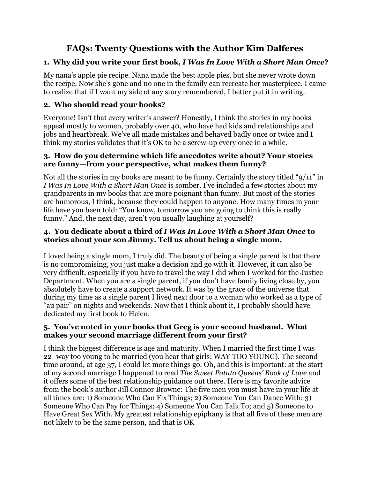# **FAQs: Twenty Questions with the Author Kim Dalferes**

# **1. Why did you write your first book,** *I Was In Love With a Short Man Once***?**

My nana's apple pie recipe. Nana made the best apple pies, but she never wrote down the recipe. Now she's gone and no one in the family can recreate her masterpiece. I came to realize that if I want my side of any story remembered, I better put it in writing.

# **2. Who should read your books?**

Everyone! Isn't that every writer's answer? Honestly, I think the stories in my books appeal mostly to women, probably over 40, who have had kids and relationships and jobs and heartbreak. We've all made mistakes and behaved badly once or twice and I think my stories validates that it's OK to be a screw-up every once in a while.

### **3. How do you determine which life anecdotes write about? Your stories are funny—from your perspective, what makes them funny?**

Not all the stories in my books are meant to be funny. Certainly the story titled "9/11" in *I Was In Love With a Short Man Once* is somber. I've included a few stories about my grandparents in my books that are more poignant than funny. But most of the stories are humorous, I think, because they could happen to anyone. How many times in your life have you been told: "You know, tomorrow you are going to think this is really funny." And, the next day, aren't you usually laughing at yourself?

## **4. You dedicate about a third of** *I Was In Love With a Short Man Once* **to stories about your son Jimmy. Tell us about being a single mom.**

I loved being a single mom, I truly did. The beauty of being a single parent is that there is no compromising, you just make a decision and go with it. However, it can also be very difficult, especially if you have to travel the way I did when I worked for the Justice Department. When you are a single parent, if you don't have family living close by, you absolutely have to create a support network. It was by the grace of the universe that during my time as a single parent I lived next door to a woman who worked as a type of "au pair" on nights and weekends. Now that I think about it, I probably should have dedicated my first book to Helen.

### **5. You've noted in your books that Greg is your second husband. What makes your second marriage different from your first?**

I think the biggest difference is age and maturity. When I married the first time I was 22–way too young to be married (you hear that girls: WAY TOO YOUNG). The second time around, at age 37, I could let more things go. Oh, and this is important: at the start of my second marriage I happened to read *The Sweet Potato Queens' Book of Love* and it offers some of the best relationship guidance out there. Here is my favorite advice from the book's author Jill Connor Browne: The five men you must have in your life at all times are: 1) Someone Who Can Fix Things; 2) Someone You Can Dance With; 3) Someone Who Can Pay for Things; 4) Someone You Can Talk To; and 5) Someone to Have Great Sex With. My greatest relationship epiphany is that all five of these men are not likely to be the same person, and that is OK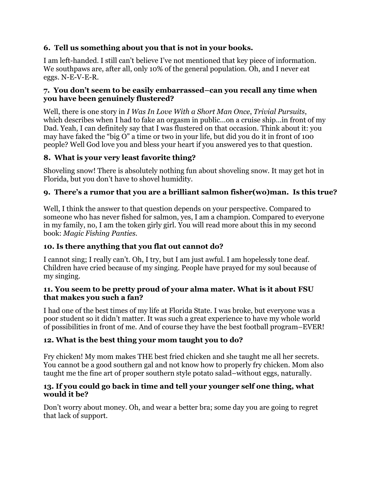# **6. Tell us something about you that is not in your books.**

I am left-handed. I still can't believe I've not mentioned that key piece of information. We southpaws are, after all, only 10% of the general population. Oh, and I never eat eggs. N-E-V-E-R.

### **7. You don't seem to be easily embarrassed–can you recall any time when you have been genuinely flustered?**

Well, there is one story in *I Was In Love With a Short Man Once*, *Trivial Pursuits*, which describes when I had to fake an orgasm in public...on a cruise ship...in front of my Dad. Yeah, I can definitely say that I was flustered on that occasion. Think about it: you may have faked the "big O" a time or two in your life, but did you do it in front of 100 people? Well God love you and bless your heart if you answered yes to that question.

# **8. What is your very least favorite thing?**

Shoveling snow! There is absolutely nothing fun about shoveling snow. It may get hot in Florida, but you don't have to shovel humidity.

# **9. There's a rumor that you are a brilliant salmon fisher(wo)man. Is this true?**

Well, I think the answer to that question depends on your perspective. Compared to someone who has never fished for salmon, yes, I am a champion. Compared to everyone in my family, no, I am the token girly girl. You will read more about this in my second book: *Magic Fishing Panties.*

# **10. Is there anything that you flat out cannot do?**

I cannot sing; I really can't. Oh, I try, but I am just awful. I am hopelessly tone deaf. Children have cried because of my singing. People have prayed for my soul because of my singing.

#### **11. You seem to be pretty proud of your alma mater. What is it about FSU that makes you such a fan?**

I had one of the best times of my life at Florida State. I was broke, but everyone was a poor student so it didn't matter. It was such a great experience to have my whole world of possibilities in front of me. And of course they have the best football program–EVER!

### **12. What is the best thing your mom taught you to do?**

Fry chicken! My mom makes THE best fried chicken and she taught me all her secrets. You cannot be a good southern gal and not know how to properly fry chicken. Mom also taught me the fine art of proper southern style potato salad–without eggs, naturally.

### **13. If you could go back in time and tell your younger self one thing, what would it be?**

Don't worry about money. Oh, and wear a better bra; some day you are going to regret that lack of support.